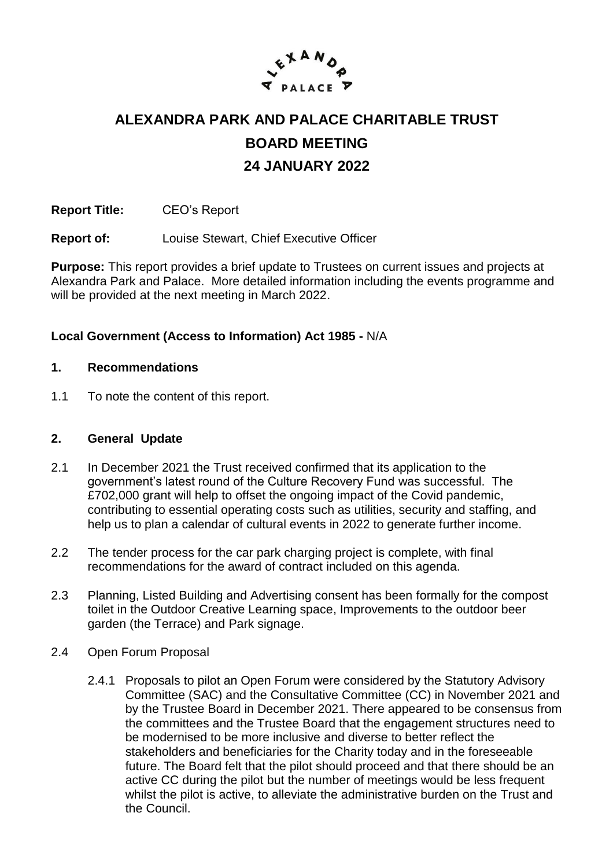

# **ALEXANDRA PARK AND PALACE CHARITABLE TRUST BOARD MEETING 24 JANUARY 2022**

**Report Title:** CEO's Report

**Report of:** Louise Stewart, Chief Executive Officer

**Purpose:** This report provides a brief update to Trustees on current issues and projects at Alexandra Park and Palace. More detailed information including the events programme and will be provided at the next meeting in March 2022.

#### **Local Government (Access to Information) Act 1985 -** N/A

#### **1. Recommendations**

1.1 To note the content of this report.

#### **2. General Update**

- 2.1 In December 2021 the Trust received confirmed that its application to the government's latest round of the Culture Recovery Fund was successful. The £702,000 grant will help to offset the ongoing impact of the Covid pandemic, contributing to essential operating costs such as utilities, security and staffing, and help us to plan a calendar of cultural events in 2022 to generate further income.
- 2.2 The tender process for the car park charging project is complete, with final recommendations for the award of contract included on this agenda.
- 2.3 Planning, Listed Building and Advertising consent has been formally for the compost toilet in the Outdoor Creative Learning space, Improvements to the outdoor beer garden (the Terrace) and Park signage.
- 2.4 Open Forum Proposal
	- 2.4.1 Proposals to pilot an Open Forum were considered by the Statutory Advisory Committee (SAC) and the Consultative Committee (CC) in November 2021 and by the Trustee Board in December 2021. There appeared to be consensus from the committees and the Trustee Board that the engagement structures need to be modernised to be more inclusive and diverse to better reflect the stakeholders and beneficiaries for the Charity today and in the foreseeable future. The Board felt that the pilot should proceed and that there should be an active CC during the pilot but the number of meetings would be less frequent whilst the pilot is active, to alleviate the administrative burden on the Trust and the Council.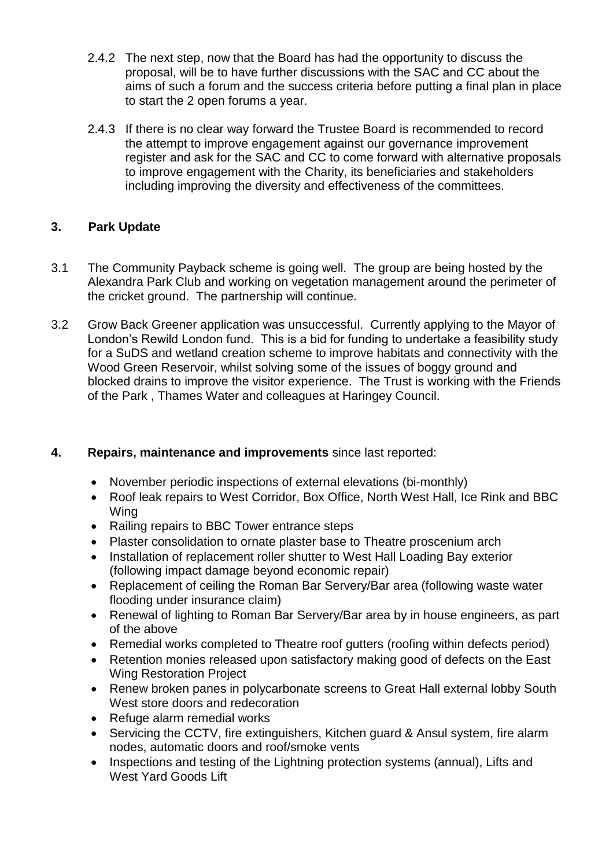- 2.4.2 The next step, now that the Board has had the opportunity to discuss the proposal, will be to have further discussions with the SAC and CC about the aims of such a forum and the success criteria before putting a final plan in place to start the 2 open forums a year.
- 2.4.3 If there is no clear way forward the Trustee Board is recommended to record the attempt to improve engagement against our governance improvement register and ask for the SAC and CC to come forward with alternative proposals to improve engagement with the Charity, its beneficiaries and stakeholders including improving the diversity and effectiveness of the committees.

# **3. Park Update**

- 3.1 The Community Payback scheme is going well. The group are being hosted by the Alexandra Park Club and working on vegetation management around the perimeter of the cricket ground. The partnership will continue.
- 3.2 Grow Back Greener application was unsuccessful. Currently applying to the Mayor of London's Rewild London fund. This is a bid for funding to undertake a feasibility study for a SuDS and wetland creation scheme to improve habitats and connectivity with the Wood Green Reservoir, whilst solving some of the issues of boggy ground and blocked drains to improve the visitor experience. The Trust is working with the Friends of the Park , Thames Water and colleagues at Haringey Council.

# **4. Repairs, maintenance and improvements** since last reported:

- November periodic inspections of external elevations (bi-monthly)
- Roof leak repairs to West Corridor, Box Office, North West Hall, Ice Rink and BBC Wing
- Railing repairs to BBC Tower entrance steps
- Plaster consolidation to ornate plaster base to Theatre proscenium arch
- Installation of replacement roller shutter to West Hall Loading Bay exterior (following impact damage beyond economic repair)
- Replacement of ceiling the Roman Bar Servery/Bar area (following waste water flooding under insurance claim)
- Renewal of lighting to Roman Bar Servery/Bar area by in house engineers, as part of the above
- Remedial works completed to Theatre roof gutters (roofing within defects period)
- Retention monies released upon satisfactory making good of defects on the East Wing Restoration Project
- Renew broken panes in polycarbonate screens to Great Hall external lobby South West store doors and redecoration
- Refuge alarm remedial works
- Servicing the CCTV, fire extinguishers, Kitchen guard & Ansul system, fire alarm nodes, automatic doors and roof/smoke vents
- Inspections and testing of the Lightning protection systems (annual), Lifts and West Yard Goods Lift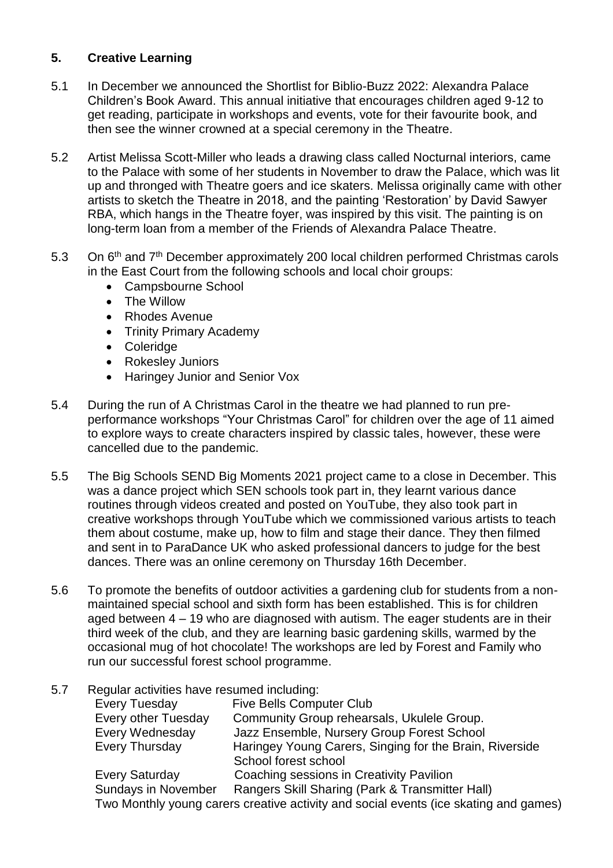# **5. Creative Learning**

- 5.1 In December we announced the Shortlist for Biblio-Buzz 2022: Alexandra Palace Children's Book Award. This annual initiative that encourages children aged 9-12 to get reading, participate in workshops and events, vote for their favourite book, and then see the winner crowned at a special ceremony in the Theatre.
- 5.2 Artist Melissa Scott-Miller who leads a drawing class called Nocturnal interiors, came to the Palace with some of her students in November to draw the Palace, which was lit up and thronged with Theatre goers and ice skaters. Melissa originally came with other artists to sketch the Theatre in 2018, and the painting 'Restoration' by David Sawyer RBA, which hangs in the Theatre foyer, was inspired by this visit. The painting is on long-term loan from a member of the Friends of Alexandra Palace Theatre.
- 5.3 On 6<sup>th</sup> and 7<sup>th</sup> December approximately 200 local children performed Christmas carols in the East Court from the following schools and local choir groups:
	- Campsbourne School
	- The Willow
	- Rhodes Avenue
	- Trinity Primary Academy
	- Coleridge
	- Rokesley Juniors
	- Haringey Junior and Senior Vox
- 5.4 During the run of A Christmas Carol in the theatre we had planned to run preperformance workshops "Your Christmas Carol" for children over the age of 11 aimed to explore ways to create characters inspired by classic tales, however, these were cancelled due to the pandemic.
- 5.5 The Big Schools SEND Big Moments 2021 project came to a close in December. This was a dance project which SEN schools took part in, they learnt various dance routines through videos created and posted on YouTube, they also took part in creative workshops through YouTube which we commissioned various artists to teach them about costume, make up, how to film and stage their dance. They then filmed and sent in to ParaDance UK who asked professional dancers to judge for the best dances. There was an online ceremony on Thursday 16th December.
- 5.6 To promote the benefits of outdoor activities a gardening club for students from a nonmaintained special school and sixth form has been established. This is for children aged between 4 – 19 who are diagnosed with autism. The eager students are in their third week of the club, and they are learning basic gardening skills, warmed by the occasional mug of hot chocolate! The workshops are led by Forest and Family who run our successful forest school programme.
- 5.7 Regular activities have resumed including:

| Every Tuesday              | <b>Five Bells Computer Club</b>                                                      |
|----------------------------|--------------------------------------------------------------------------------------|
| <b>Every other Tuesday</b> | Community Group rehearsals, Ukulele Group.                                           |
| Every Wednesday            | Jazz Ensemble, Nursery Group Forest School                                           |
| Every Thursday             | Haringey Young Carers, Singing for the Brain, Riverside                              |
|                            | School forest school                                                                 |
| Every Saturday             | Coaching sessions in Creativity Pavilion                                             |
| <b>Sundays in November</b> | Rangers Skill Sharing (Park & Transmitter Hall)                                      |
|                            | Two Monthly young carers creative activity and social events (ice skating and games) |
|                            |                                                                                      |